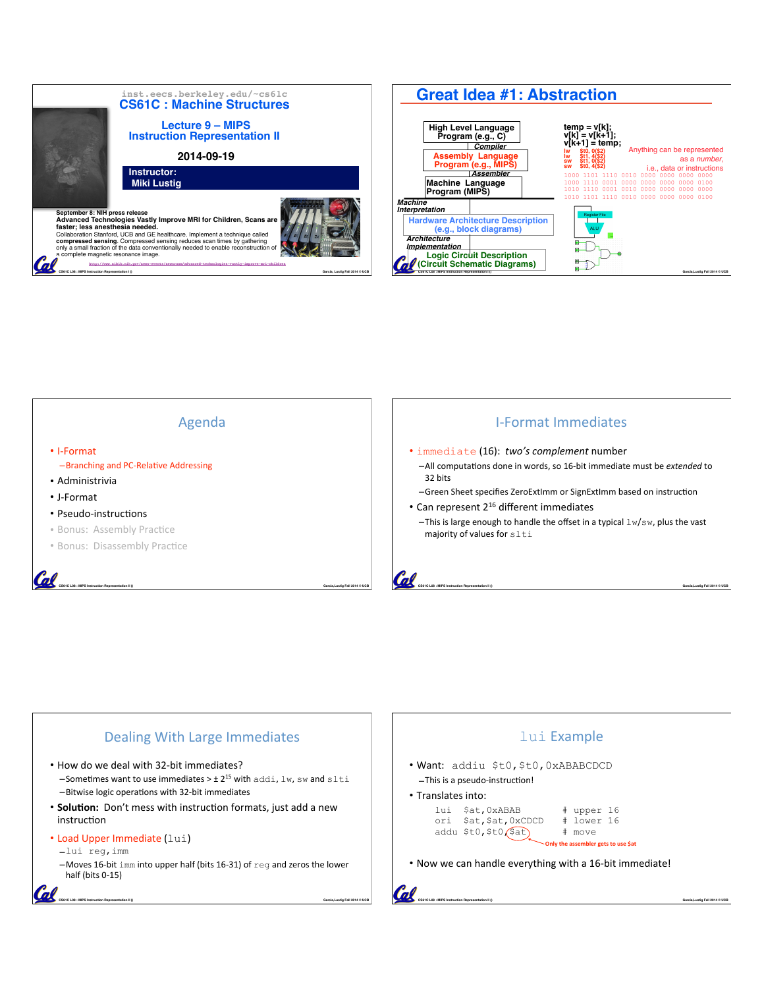







**CS61C L08 : MIPS Instruction Representation II () Garcia,Lustig Fall 2014 © UCB**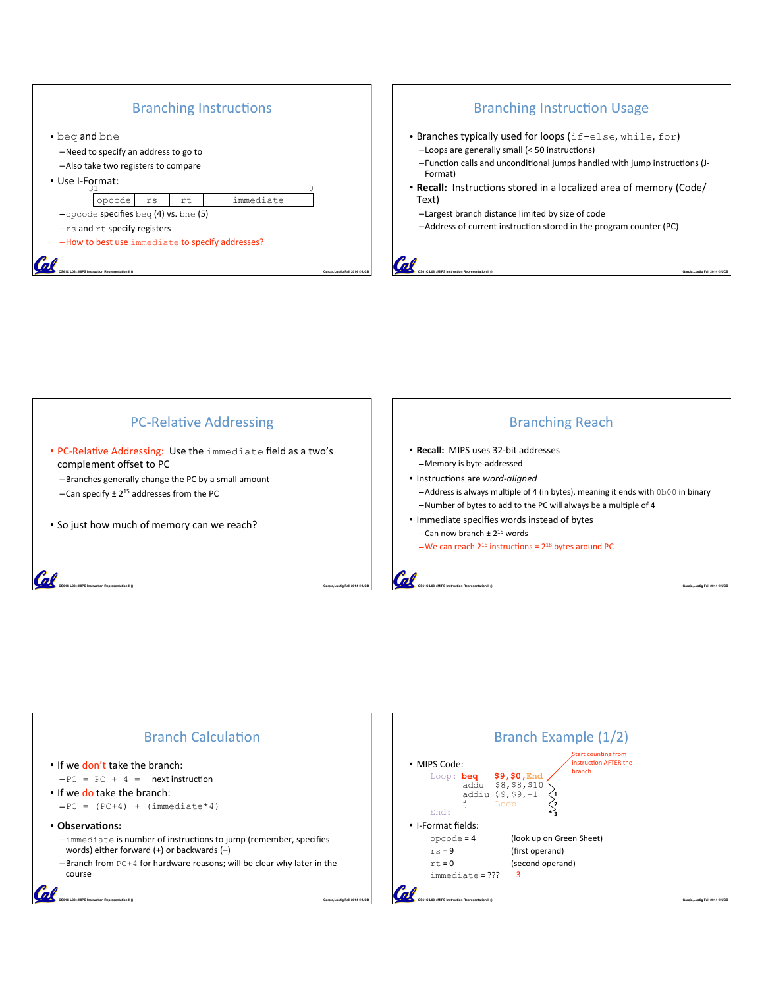

## Branching Instruction Usage

- Branches typically used for loops (if-else, while, for) -Loops are generally small (< 50 instructions)
	- -Function calls and unconditional jumps handled with jump instructions (J-Format)

**CS61C L08 : MIPS Instruction Representation II () Garcia,Lustig Fall 2014 © UCB**

- **Recall:** Instructions stored in a localized area of memory (Code/ Text)
	- –Largest branch distance limited by size of code
	- -Address of current instruction stored in the program counter (PC)

PC-Relative Addressing

**CS61C L08 : MIPS Instruction Representation II () Garcia,Lustig Fall 2014 © UCB**

• PC-Relative Addressing: Use the immediate field as a two's complement offset to PC

-Branches generally change the PC by a small amount -Can specify  $\pm 2^{15}$  addresses from the PC

• So just how much of memory can we reach?

#### **Branching Reach**

- Recall: MIPS uses 32-bit addresses -Memory is byte-addressed
- Instructions are word-aligned
	- –Address is always multiple of 4 (in bytes), meaning it ends with 0b00 in binary –Number of bytes to add to the PC will always be a multiple of 4

Start counting from instruction AFTER the branch

**1 2 3**

• Immediate specifies words instead of bytes –Can now branch  $\pm 2^{15}$  words

–We can reach  $2^{16}$  instructions =  $2^{18}$  bytes around PC



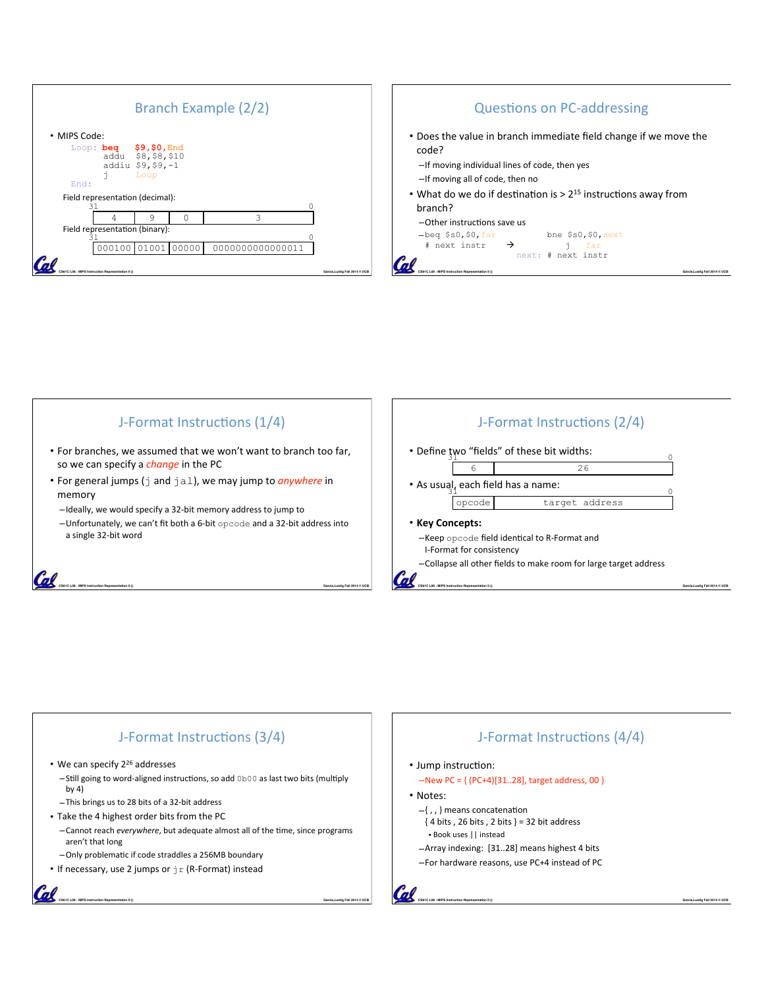



#### J-Format Instructions (1/4) J-Format Instructions (2/4) • For branches, we assumed that we won't want to branch too far, • Define  $\frac{1}{3}$ wo "fields" of these bit widths: so we can specify a *change* in the PC 6 26 • For general jumps (j and jal), we may jump to *anywhere* in • As usual, each field has a name: memory 31 0 opcode target address -Ideally, we would specify a 32-bit memory address to jump to  $-$ Unfortunately, we can't fit both a 6-bit opcode and a 32-bit address into • **Key(Concepts:** a single 32-bit word –Keep opcode field identical to R-Format and I-Format for consistency –Collapse all other fields to make room for large target address Cal **CS61C L08 : MIPS Instruction Representation II () Garcia,Lustig Fall 2014 © UCB CS61C L08 : MIPS Instruction Representation II () Garcia,Lustig Fall 2014 © UCB**

# J-Format Instructions (3/4)

• We can specify  $2^{26}$  addresses

Call

al

- –Still going to word-aligned instructions, so add 0b00 as last two bits (multiply by  $4)$
- –This brings us to 28 bits of a 32-bit address
- Take the 4 highest order bits from the PC
	- $-$ Cannot reach *everywhere*, but adequate almost all of the time, since programs aren't that long

**CS61C L08 : MIPS Instruction Representation II () Garcia,Lustig Fall 2014 © UCB**

- -Only problematic if code straddles a 256MB boundary
- If necessary, use 2 jumps or  $jr$  (R-Format) instead

## J-Format Instructions (4/4) • Jump instruction:  $-$ New PC = { (PC+4)[31..28], target address, 00 } • Notes:  $-\{$ , , } means concatenation  ${4 bits, 26 bits, 2 bits} = 32 bit address$ • Book uses || instead -Array indexing: [31..28] means highest 4 bits –For hardware reasons, use PC+4 instead of PC

**CS61C L08 : MIPS Instruction Representation II () Garcia,Lustig Fall 2014 © UCB**